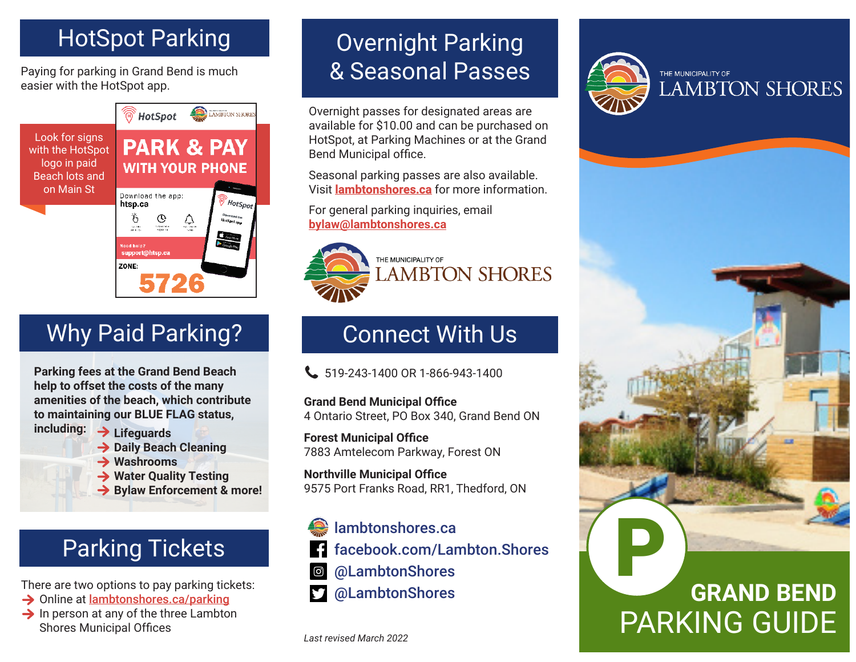### HotSpot Parking

Paying for parking in Grand Bend is much easier with the HotSpot app.



## Why Paid Parking?

**Parking fees at the Grand Bend Beach help to offset the costs of the many amenities of the beach, which contribute to maintaining our BLUE FLAG status,** 

- **including: Lifeguards**
	- **→ Daily Beach Cleaning**
	- **Washrooms**
	- **Water Quality Testing**
	- **→ Bylaw Enforcement & more!**

# Parking Tickets

There are two options to pay parking tickets:

- **→ Online at lambtonshores.ca/parking**
- $\rightarrow$  In person at any of the three Lambton Shores Municipal Offices

### Overnight Parking & Seasonal Passes

Overnight passes for designated areas are available for \$10.00 and can be purchased on HotSpot, at Parking Machines or at the Grand Bend Municipal office.

Seasonal parking passes are also available. Visit **lambtonshores.ca** for more information.

For general parking inquiries, email **bylaw@lambtonshores.ca**



### Connect With Us

 $\bigcup$  519-243-1400 OR 1-866-943-1400

**Grand Bend Municipal Office** 4 Ontario Street, PO Box 340, Grand Bend ON

**Forest Municipal Office** 7883 Amtelecom Parkway, Forest ON

**Northville Municipal Office** 9575 Port Franks Road, RR1, Thedford, ON



@LambtonShores



# **GRAND BEND** PARKING GUIDE P